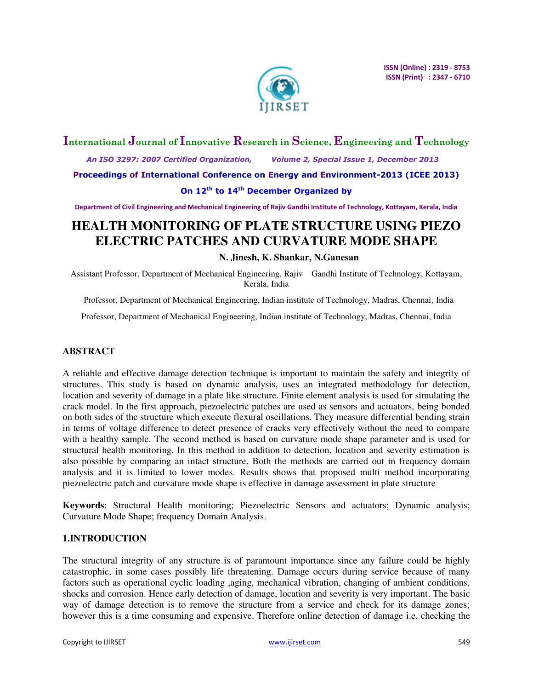

## **International Journal of Innovative Research in Science, Engineering and Technology**

 *An ISO 3297: 2007 Certified Organization, Volume 2, Special Issue 1, December 2013* 

**Proceedings of International Conference on Energy and Environment-2013 (ICEE 2013)** 

## **On 12th to 14th December Organized by**

**Department of Civil Engineering and Mechanical Engineering of Rajiv Gandhi Institute of Technology, Kottayam, Kerala, India** 

# **HEALTH MONITORING OF PLATE STRUCTURE USING PIEZO ELECTRIC PATCHES AND CURVATURE MODE SHAPE**

### **N. Jinesh, K. Shankar, N.Ganesan**

Assistant Professor, Department of Mechanical Engineering, Rajiv Gandhi Institute of Technology, Kottayam, Kerala, India

Professor, Department of Mechanical Engineering, Indian institute of Technology, Madras, Chennai, India

Professor, Department of Mechanical Engineering, Indian institute of Technology, Madras, Chennai, India

## **ABSTRACT**

A reliable and effective damage detection technique is important to maintain the safety and integrity of structures. This study is based on dynamic analysis, uses an integrated methodology for detection, location and severity of damage in a plate like structure. Finite element analysis is used for simulating the crack model. In the first approach, piezoelectric patches are used as sensors and actuators, being bonded on both sides of the structure which execute flexural oscillations. They measure differential bending strain in terms of voltage difference to detect presence of cracks very effectively without the need to compare with a healthy sample. The second method is based on curvature mode shape parameter and is used for structural health monitoring. In this method in addition to detection, location and severity estimation is also possible by comparing an intact structure. Both the methods are carried out in frequency domain analysis and it is limited to lower modes. Results shows that proposed multi method incorporating piezoelectric patch and curvature mode shape is effective in damage assessment in plate structure

**Keywords**: Structural Health monitoring; Piezoelectric Sensors and actuators; Dynamic analysis; Curvature Mode Shape; frequency Domain Analysis.

## **1.INTRODUCTION**

The structural integrity of any structure is of paramount importance since any failure could be highly catastrophic, in some cases possibly life threatening. Damage occurs during service because of many factors such as operational cyclic loading ,aging, mechanical vibration, changing of ambient conditions, shocks and corrosion. Hence early detection of damage, location and severity is very important. The basic way of damage detection is to remove the structure from a service and check for its damage zones; however this is a time consuming and expensive. Therefore online detection of damage i.e. checking the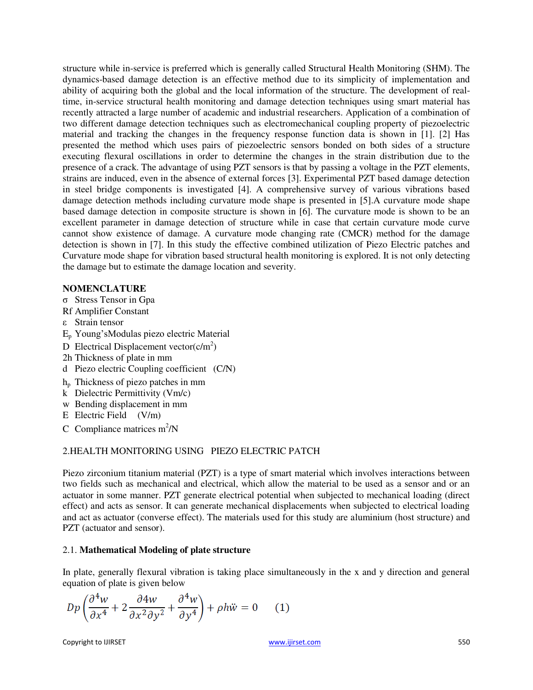structure while in-service is preferred which is generally called Structural Health Monitoring (SHM). The dynamics-based damage detection is an effective method due to its simplicity of implementation and ability of acquiring both the global and the local information of the structure. The development of realtime, in-service structural health monitoring and damage detection techniques using smart material has recently attracted a large number of academic and industrial researchers. Application of a combination of two different damage detection techniques such as electromechanical coupling property of piezoelectric material and tracking the changes in the frequency response function data is shown in [1]. [2] Has presented the method which uses pairs of piezoelectric sensors bonded on both sides of a structure executing flexural oscillations in order to determine the changes in the strain distribution due to the presence of a crack. The advantage of using PZT sensors is that by passing a voltage in the PZT elements, strains are induced, even in the absence of external forces [3]. Experimental PZT based damage detection in steel bridge components is investigated [4]. A comprehensive survey of various vibrations based damage detection methods including curvature mode shape is presented in [5].A curvature mode shape based damage detection in composite structure is shown in [6]. The curvature mode is shown to be an excellent parameter in damage detection of structure while in case that certain curvature mode curve cannot show existence of damage. A curvature mode changing rate (CMCR) method for the damage detection is shown in [7]. In this study the effective combined utilization of Piezo Electric patches and Curvature mode shape for vibration based structural health monitoring is explored. It is not only detecting the damage but to estimate the damage location and severity.

## **NOMENCLATURE**

- σ Stress Tensor in Gpa
- Rf Amplifier Constant
- ε Strain tensor
- E<sup>p</sup> Young'sModulas piezo electric Material
- D Electrical Displacement vector $(c/m^2)$
- 2h Thickness of plate in mm
- d Piezo electric Coupling coefficient (C/N)
- h<sup>p</sup> Thickness of piezo patches in mm
- k Dielectric Permittivity (Vm/c)
- w Bending displacement in mm
- E Electric Field (V/m)
- C Compliance matrices  $m^2/N$

## 2.HEALTH MONITORING USING PIEZO ELECTRIC PATCH

Piezo zirconium titanium material (PZT) is a type of smart material which involves interactions between two fields such as mechanical and electrical, which allow the material to be used as a sensor and or an actuator in some manner. PZT generate electrical potential when subjected to mechanical loading (direct effect) and acts as sensor. It can generate mechanical displacements when subjected to electrical loading and act as actuator (converse effect). The materials used for this study are aluminium (host structure) and PZT (actuator and sensor).

## 2.1. **Mathematical Modeling of plate structure**

In plate, generally flexural vibration is taking place simultaneously in the x and y direction and general equation of plate is given below

$$
Dp\left(\frac{\partial^4 w}{\partial x^4} + 2\frac{\partial^4 w}{\partial x^2 \partial y^2} + \frac{\partial^4 w}{\partial y^4}\right) + \rho h \ddot{w} = 0 \qquad (1)
$$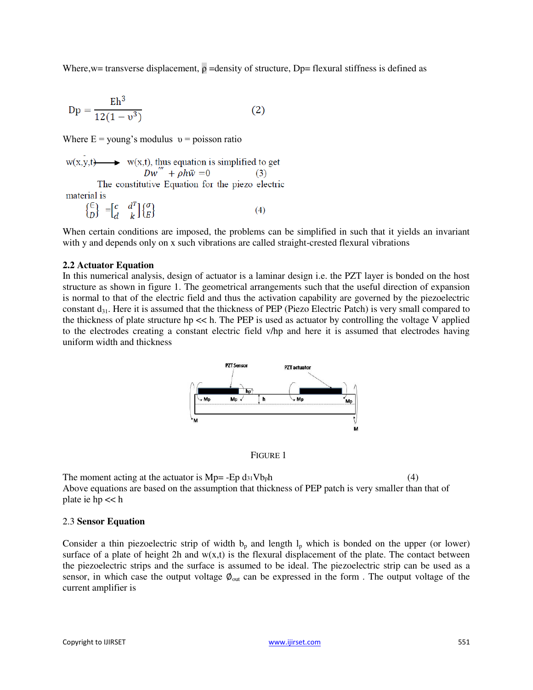Where, w= transverse displacement,  $\rho$  =density of structure, Dp= flexural stiffness is defined as

$$
Dp = \frac{Eh^3}{12(1 - v^3)}
$$
 (2)

Where  $E =$  young's modulus  $v =$  poisson ratio

 $w(x,y,t)$  w(x,t), thus equation is simplified to get<br>  $Dw''' + \rho h\ddot{w} = 0$  (3) The constitutive Equation for the piezo electric

material is

$$
\begin{pmatrix} \in \\ D \end{pmatrix} = \begin{bmatrix} c & d^T \\ d & k \end{bmatrix} \begin{pmatrix} \sigma \\ E \end{pmatrix} \tag{4}
$$

When certain conditions are imposed, the problems can be simplified in such that it yields an invariant with y and depends only on x such vibrations are called straight-crested flexural vibrations

#### **2.2 Actuator Equation**

In this numerical analysis, design of actuator is a laminar design i.e. the PZT layer is bonded on the host structure as shown in figure 1. The geometrical arrangements such that the useful direction of expansion is normal to that of the electric field and thus the activation capability are governed by the piezoelectric constant  $d_{31}$ . Here it is assumed that the thickness of PEP (Piezo Electric Patch) is very small compared to the thickness of plate structure hp << h. The PEP is used as actuator by controlling the voltage V applied to the electrodes creating a constant electric field v/hp and here it is assumed that electrodes having uniform width and thickness



FIGURE 1

The moment acting at the actuator is  $Mp = -Ep \, ds_1 Vb_p h$  (4) Above equations are based on the assumption that thickness of PEP patch is very smaller than that of plate ie hp << h

#### 2.3 **Sensor Equation**

Consider a thin piezoelectric strip of width  $b<sub>p</sub>$  and length  $l<sub>p</sub>$  which is bonded on the upper (or lower) surface of a plate of height 2h and  $w(x,t)$  is the flexural displacement of the plate. The contact between the piezoelectric strips and the surface is assumed to be ideal. The piezoelectric strip can be used as a sensor, in which case the output voltage  $\phi_{\text{out}}$  can be expressed in the form . The output voltage of the current amplifier is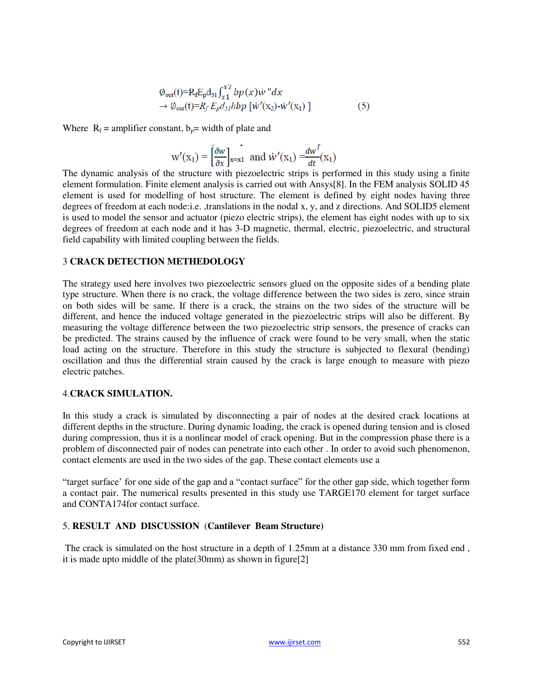$$
\varphi_{\text{out}}(t) = R_f E_p d_{31} \int_{x_1}^{x_2} b p(x) \dot{w} \, dx
$$
  
\n
$$
\rightarrow \varphi_{\text{out}}(t) = R_f E_p d_{31} h b p \left[ \dot{w}'(x_2) - \dot{w}'(x_1) \right]
$$
 (5)

Where  $R_f$  = amplifier constant,  $b_p$  = width of plate and

$$
w'(x_1) = \left[\frac{\partial w}{\partial x}\right]_{x=x_1}
$$
 and 
$$
\dot{w}'(x_1) = \frac{dw'}{dt}(x_1)
$$

The dynamic analysis of the structure with piezoelectric strips is performed in this study using a finite element formulation. Finite element analysis is carried out with Ansys[8]. In the FEM analysis SOLID 45 element is used for modelling of host structure. The element is defined by eight nodes having three degrees of freedom at each node:i.e. ,translations in the nodal x, y, and z directions. And SOLID5 element is used to model the sensor and actuator (piezo electric strips), the element has eight nodes with up to six degrees of freedom at each node and it has 3-D magnetic, thermal, electric, piezoelectric, and structural field capability with limited coupling between the fields.

## 3 **CRACK DETECTION METHEDOLOGY**

The strategy used here involves two piezoelectric sensors glued on the opposite sides of a bending plate type structure. When there is no crack, the voltage difference between the two sides is zero, since strain on both sides will be same. If there is a crack, the strains on the two sides of the structure will be different, and hence the induced voltage generated in the piezoelectric strips will also be different. By measuring the voltage difference between the two piezoelectric strip sensors, the presence of cracks can be predicted. The strains caused by the influence of crack were found to be very small, when the static load acting on the structure. Therefore in this study the structure is subjected to flexural (bending) oscillation and thus the differential strain caused by the crack is large enough to measure with piezo electric patches.

#### 4.**CRACK SIMULATION.**

In this study a crack is simulated by disconnecting a pair of nodes at the desired crack locations at different depths in the structure. During dynamic loading, the crack is opened during tension and is closed during compression, thus it is a nonlinear model of crack opening. But in the compression phase there is a problem of disconnected pair of nodes can penetrate into each other . In order to avoid such phenomenon, contact elements are used in the two sides of the gap. These contact elements use a

"target surface' for one side of the gap and a "contact surface" for the other gap side, which together form a contact pair. The numerical results presented in this study use TARGE170 element for target surface and CONTA174for contact surface.

### 5. **RESULT AND DISCUSSION** (**Cantilever Beam Structure)**

The crack is simulated on the host structure in a depth of 1.25mm at a distance 330 mm from fixed end , it is made upto middle of the plate(30mm) as shown in figure[2]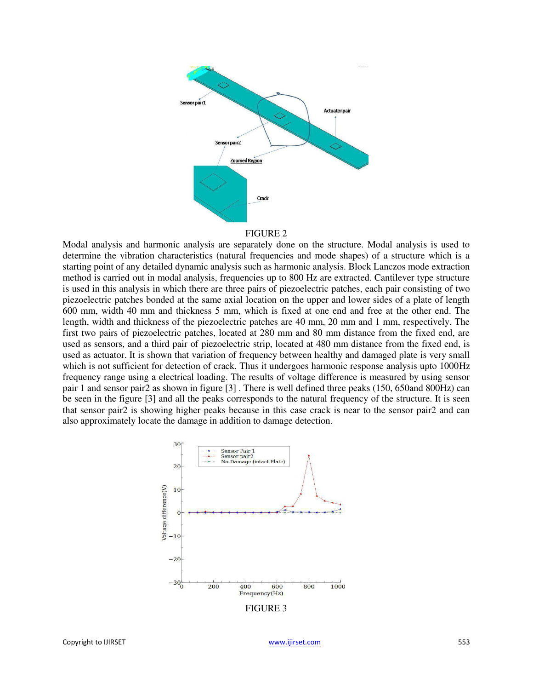

#### FIGURE 2

Modal analysis and harmonic analysis are separately done on the structure. Modal analysis is used to determine the vibration characteristics (natural frequencies and mode shapes) of a structure which is a starting point of any detailed dynamic analysis such as harmonic analysis. Block Lanczos mode extraction method is carried out in modal analysis, frequencies up to 800 Hz are extracted. Cantilever type structure is used in this analysis in which there are three pairs of piezoelectric patches, each pair consisting of two piezoelectric patches bonded at the same axial location on the upper and lower sides of a plate of length 600 mm, width 40 mm and thickness 5 mm, which is fixed at one end and free at the other end. The length, width and thickness of the piezoelectric patches are 40 mm, 20 mm and 1 mm, respectively. The first two pairs of piezoelectric patches, located at 280 mm and 80 mm distance from the fixed end, are used as sensors, and a third pair of piezoelectric strip, located at 480 mm distance from the fixed end, is used as actuator. It is shown that variation of frequency between healthy and damaged plate is very small which is not sufficient for detection of crack. Thus it undergoes harmonic response analysis upto 1000Hz frequency range using a electrical loading. The results of voltage difference is measured by using sensor pair 1 and sensor pair2 as shown in figure [3] . There is well defined three peaks (150, 650and 800Hz) can be seen in the figure [3] and all the peaks corresponds to the natural frequency of the structure. It is seen that sensor pair2 is showing higher peaks because in this case crack is near to the sensor pair2 and can also approximately locate the damage in addition to damage detection.

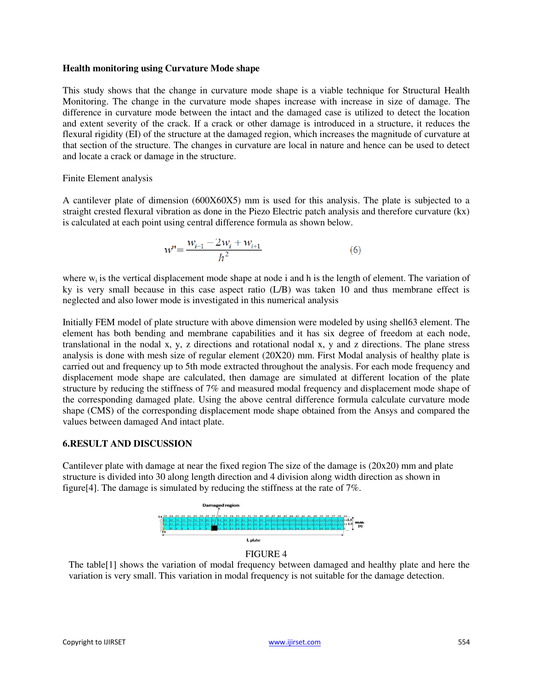### **Health monitoring using Curvature Mode shape**

This study shows that the change in curvature mode shape is a viable technique for Structural Health Monitoring. The change in the curvature mode shapes increase with increase in size of damage. The difference in curvature mode between the intact and the damaged case is utilized to detect the location and extent severity of the crack. If a crack or other damage is introduced in a structure, it reduces the flexural rigidity (EI) of the structure at the damaged region, which increases the magnitude of curvature at that section of the structure. The changes in curvature are local in nature and hence can be used to detect and locate a crack or damage in the structure.

## Finite Element analysis

A cantilever plate of dimension (600X60X5) mm is used for this analysis. The plate is subjected to a straight crested flexural vibration as done in the Piezo Electric patch analysis and therefore curvature (kx) is calculated at each point using central difference formula as shown below.

$$
w' = \frac{w_{i-1} - 2w_i + w_{i+1}}{h^2}
$$
 (6)

where  $w_i$  is the vertical displacement mode shape at node i and h is the length of element. The variation of ky is very small because in this case aspect ratio (L/B) was taken 10 and thus membrane effect is neglected and also lower mode is investigated in this numerical analysis

Initially FEM model of plate structure with above dimension were modeled by using shell63 element. The element has both bending and membrane capabilities and it has six degree of freedom at each node, translational in the nodal x, y, z directions and rotational nodal x, y and z directions. The plane stress analysis is done with mesh size of regular element (20X20) mm. First Modal analysis of healthy plate is carried out and frequency up to 5th mode extracted throughout the analysis. For each mode frequency and displacement mode shape are calculated, then damage are simulated at different location of the plate structure by reducing the stiffness of 7% and measured modal frequency and displacement mode shape of the corresponding damaged plate. Using the above central difference formula calculate curvature mode shape (CMS) of the corresponding displacement mode shape obtained from the Ansys and compared the values between damaged And intact plate.

## **6.RESULT AND DISCUSSION**

Cantilever plate with damage at near the fixed region The size of the damage is (20x20) mm and plate structure is divided into 30 along length direction and 4 division along width direction as shown in figure[4]. The damage is simulated by reducing the stiffness at the rate of 7%.



### FIGURE 4

The table[1] shows the variation of modal frequency between damaged and healthy plate and here the variation is very small. This variation in modal frequency is not suitable for the damage detection.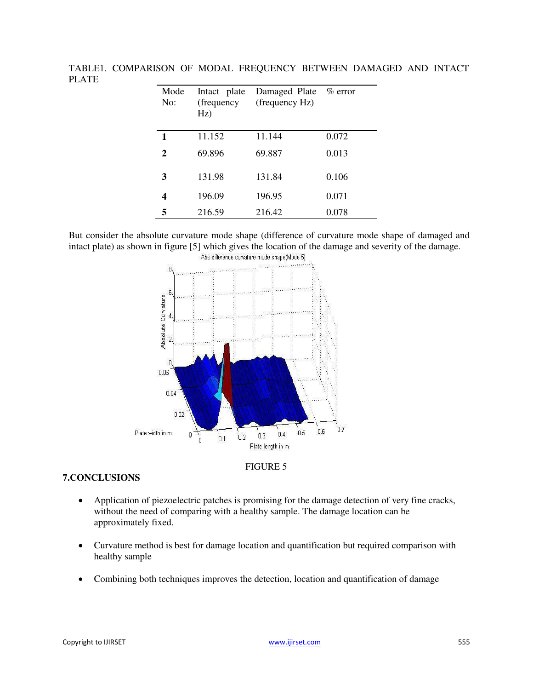| Mode<br>No:  | Intact plate<br>(frequency<br>Hz) | Damaged Plate % error<br>(frequency Hz) |       |
|--------------|-----------------------------------|-----------------------------------------|-------|
| 1            | 11.152                            | 11.144                                  | 0.072 |
| $\mathbf{2}$ | 69.896                            | 69.887                                  | 0.013 |
| 3            | 131.98                            | 131.84                                  | 0.106 |
|              | 196.09                            | 196.95                                  | 0.071 |
| 5            | 216.59                            | 216.42                                  | 0.078 |

TABLE1. COMPARISON OF MODAL FREQUENCY BETWEEN DAMAGED AND INTACT PLATE

But consider the absolute curvature mode shape (difference of curvature mode shape of damaged and intact plate) as shown in figure [5] which gives the location of the damage and severity of the damage.





### **7.CONCLUSIONS**

- Application of piezoelectric patches is promising for the damage detection of very fine cracks, without the need of comparing with a healthy sample. The damage location can be approximately fixed.
- Curvature method is best for damage location and quantification but required comparison with healthy sample
- Combining both techniques improves the detection, location and quantification of damage